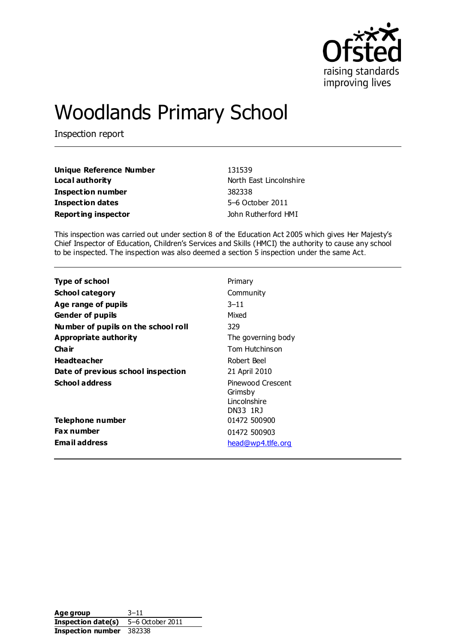

# Woodlands Primary School

Inspection report

**Unique Reference Number** 131539 **Local authority North East Lincolnshire Inspection number** 382338 **Inspection dates** 5–6 October 2011 **Reporting inspector**  $\qquad \qquad$  **John Rutherford HMI** 

This inspection was carried out under section 8 of the Education Act 2005 which gives Her Majesty's Chief Inspector of Education, Children's Services and Skills (HMCI) the authority to cause any school to be inspected. The inspection was also deemed a section 5 inspection under the same Act.

| <b>Type of school</b>               | Primary                                                  |
|-------------------------------------|----------------------------------------------------------|
| School category                     | Community                                                |
| Age range of pupils                 | $3 - 11$                                                 |
| <b>Gender of pupils</b>             | Mixed                                                    |
| Number of pupils on the school roll | 329                                                      |
| Appropriate authority               | The governing body                                       |
| Cha ir                              | Tom Hutchinson                                           |
| <b>Headteacher</b>                  | Robert Beel                                              |
| Date of previous school inspection  | 21 April 2010                                            |
| <b>School address</b>               | Pinewood Crescent<br>Grimsby<br>Lincolnshire<br>DN33 1RJ |
| Telephone number                    | 01472 500900                                             |
| <b>Fax number</b>                   | 01472 500903                                             |
| Email address                       | head@wp4.tlfe.org                                        |

**Age group** 3–11 **Inspection date(s)** 5-6 October 2011 **Inspection number** 382338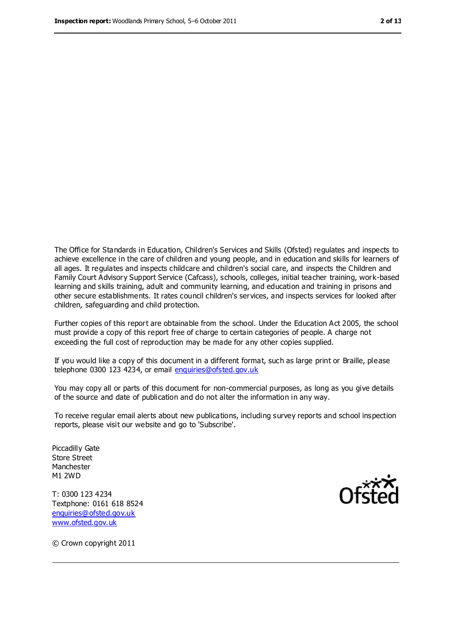The Office for Standards in Education, Children's Services and Skills (Ofsted) regulates and inspects to achieve excellence in the care of children and young people, and in education and skills for learners of all ages. It regulates and inspects childcare and children's social care, and inspects the Children and Family Court Advisory Support Service (Cafcass), schools, colleges, initial teacher training, work-based learning and skills training, adult and community learning, and education and training in prisons and other secure establishments. It rates council children's services, and inspects services for looked after children, safeguarding and child protection.

Further copies of this report are obtainable from the school. Under the Education Act 2005, the school must provide a copy of this report free of charge to certain categories of people. A charge not exceeding the full cost of reproduction may be made for any other copies supplied.

If you would like a copy of this document in a different format, such as large print or Braille, please telephone 0300 123 4234, or email [enquiries@ofsted.gov.uk](mailto:enquiries@ofsted.gov.uk)

You may copy all or parts of this document for non-commercial purposes, as long as you give details of the source and date of publication and do not alter the information in any way.

To receive regular email alerts about new publications, including survey reports and school inspection reports, please visit our website and go to 'Subscribe'.

Piccadilly Gate Store Street Manchester M1 2WD

T: 0300 123 4234 Textphone: 0161 618 8524 [enquiries@ofsted.gov.uk](mailto:enquiries@ofsted.gov.uk) [www.ofsted.gov.uk](http://www.ofsted.gov.uk/)



© Crown copyright 2011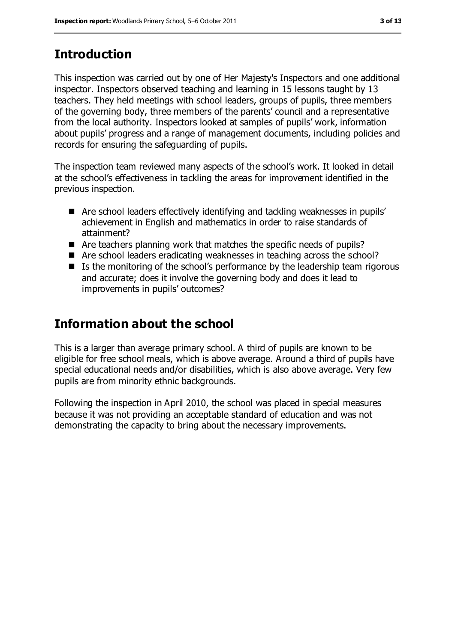# **Introduction**

This inspection was carried out by one of Her Majesty's Inspectors and one additional inspector. Inspectors observed teaching and learning in 15 lessons taught by 13 teachers. They held meetings with school leaders, groups of pupils, three members of the governing body, three members of the parents' council and a representative from the local authority. Inspectors looked at samples of pupils' work, information about pupils' progress and a range of management documents, including policies and records for ensuring the safeguarding of pupils.

The inspection team reviewed many aspects of the school's work. It looked in detail at the school's effectiveness in tackling the areas for improvement identified in the previous inspection.

- Are school leaders effectively identifying and tackling weaknesses in pupils' achievement in English and mathematics in order to raise standards of attainment?
- Are teachers planning work that matches the specific needs of pupils?
- Are school leaders eradicating weaknesses in teaching across the school?
- Is the monitoring of the school's performance by the leadership team rigorous and accurate; does it involve the governing body and does it lead to improvements in pupils' outcomes?

# **Information about the school**

This is a larger than average primary school. A third of pupils are known to be eligible for free school meals, which is above average. Around a third of pupils have special educational needs and/or disabilities, which is also above average. Very few pupils are from minority ethnic backgrounds.

Following the inspection in April 2010, the school was placed in special measures because it was not providing an acceptable standard of education and was not demonstrating the capacity to bring about the necessary improvements.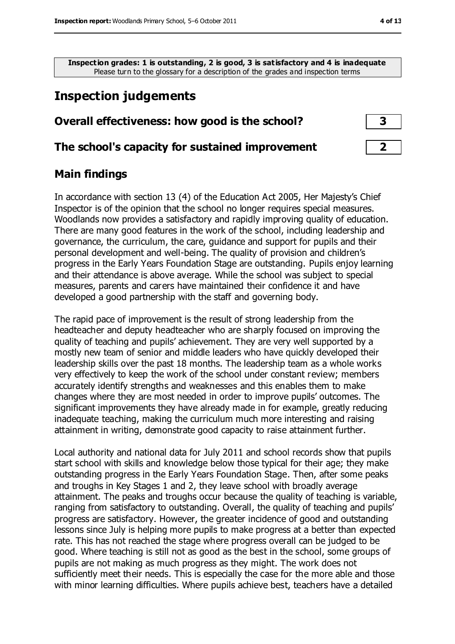**Inspection grades: 1 is outstanding, 2 is good, 3 is satisfactory and 4 is inadequate** Please turn to the glossary for a description of the grades and inspection terms

# **Inspection judgements**

| Overall effectiveness: how good is the school?  |                         |
|-------------------------------------------------|-------------------------|
| The school's capacity for sustained improvement | $\overline{\mathbf{2}}$ |

## **Main findings**

In accordance with section 13 (4) of the Education Act 2005, Her Majesty's Chief Inspector is of the opinion that the school no longer requires special measures. Woodlands now provides a satisfactory and rapidly improving quality of education. There are many good features in the work of the school, including leadership and governance, the curriculum, the care, guidance and support for pupils and their personal development and well-being. The quality of provision and children's progress in the Early Years Foundation Stage are outstanding. Pupils enjoy learning and their attendance is above average. While the school was subject to special measures, parents and carers have maintained their confidence it and have developed a good partnership with the staff and governing body.

The rapid pace of improvement is the result of strong leadership from the headteacher and deputy headteacher who are sharply focused on improving the quality of teaching and pupils' achievement. They are very well supported by a mostly new team of senior and middle leaders who have quickly developed their leadership skills over the past 18 months. The leadership team as a whole works very effectively to keep the work of the school under constant review; members accurately identify strengths and weaknesses and this enables them to make changes where they are most needed in order to improve pupils' outcomes. The significant improvements they have already made in for example, greatly reducing inadequate teaching, making the curriculum much more interesting and raising attainment in writing, demonstrate good capacity to raise attainment further.

Local authority and national data for July 2011 and school records show that pupils start school with skills and knowledge below those typical for their age; they make outstanding progress in the Early Years Foundation Stage. Then, after some peaks and troughs in Key Stages 1 and 2, they leave school with broadly average attainment. The peaks and troughs occur because the quality of teaching is variable, ranging from satisfactory to outstanding. Overall, the quality of teaching and pupils' progress are satisfactory. However, the greater incidence of good and outstanding lessons since July is helping more pupils to make progress at a better than expected rate. This has not reached the stage where progress overall can be judged to be good. Where teaching is still not as good as the best in the school, some groups of pupils are not making as much progress as they might. The work does not sufficiently meet their needs. This is especially the case for the more able and those with minor learning difficulties. Where pupils achieve best, teachers have a detailed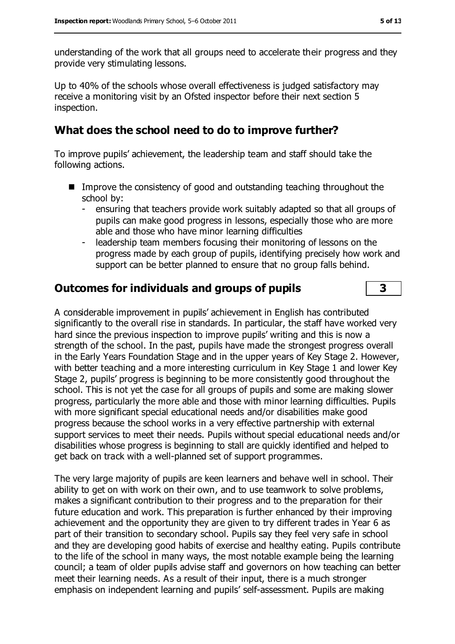understanding of the work that all groups need to accelerate their progress and they provide very stimulating lessons.

Up to 40% of the schools whose overall effectiveness is judged satisfactory may receive a monitoring visit by an Ofsted inspector before their next section 5 inspection.

#### **What does the school need to do to improve further?**

To improve pupils' achievement, the leadership team and staff should take the following actions.

- Improve the consistency of good and outstanding teaching throughout the school by:
	- ensuring that teachers provide work suitably adapted so that all groups of pupils can make good progress in lessons, especially those who are more able and those who have minor learning difficulties
	- leadership team members focusing their monitoring of lessons on the progress made by each group of pupils, identifying precisely how work and support can be better planned to ensure that no group falls behind.

#### **Outcomes for individuals and groups of pupils 3**

A considerable improvement in pupils' achievement in English has contributed significantly to the overall rise in standards. In particular, the staff have worked very hard since the previous inspection to improve pupils' writing and this is now a strength of the school. In the past, pupils have made the strongest progress overall in the Early Years Foundation Stage and in the upper years of Key Stage 2. However, with better teaching and a more interesting curriculum in Key Stage 1 and lower Key Stage 2, pupils' progress is beginning to be more consistently good throughout the school. This is not yet the case for all groups of pupils and some are making slower progress, particularly the more able and those with minor learning difficulties. Pupils with more significant special educational needs and/or disabilities make good progress because the school works in a very effective partnership with external support services to meet their needs. Pupils without special educational needs and/or disabilities whose progress is beginning to stall are quickly identified and helped to get back on track with a well-planned set of support programmes.

The very large majority of pupils are keen learners and behave well in school. Their ability to get on with work on their own, and to use teamwork to solve problems, makes a significant contribution to their progress and to the preparation for their future education and work. This preparation is further enhanced by their improving achievement and the opportunity they are given to try different trades in Year 6 as part of their transition to secondary school. Pupils say they feel very safe in school and they are developing good habits of exercise and healthy eating. Pupils contribute to the life of the school in many ways, the most notable example being the learning council; a team of older pupils advise staff and governors on how teaching can better meet their learning needs. As a result of their input, there is a much stronger emphasis on independent learning and pupils' self-assessment. Pupils are making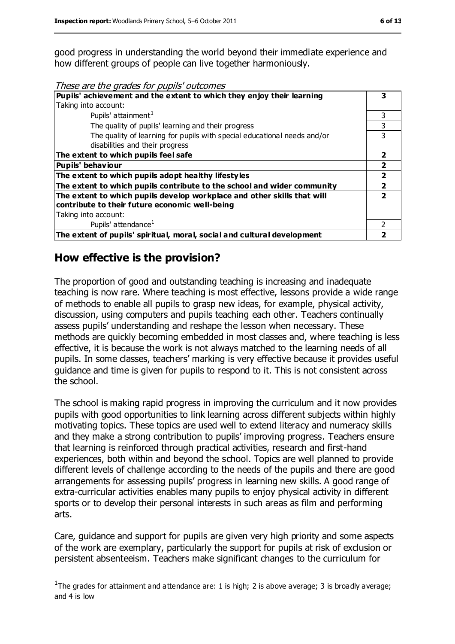good progress in understanding the world beyond their immediate experience and how different groups of people can live together harmoniously.

These are the grades for pupils' outcomes

| Pupils' achievement and the extent to which they enjoy their learning    |   |
|--------------------------------------------------------------------------|---|
| Taking into account:                                                     |   |
| Pupils' attainment <sup>1</sup>                                          |   |
| The quality of pupils' learning and their progress                       |   |
| The quality of learning for pupils with special educational needs and/or |   |
| disabilities and their progress                                          |   |
| The extent to which pupils feel safe                                     |   |
| Pupils' behaviour                                                        |   |
| The extent to which pupils adopt healthy lifestyles                      | 2 |
| The extent to which pupils contribute to the school and wider community  |   |
| The extent to which pupils develop workplace and other skills that will  |   |
| contribute to their future economic well-being                           |   |
| Taking into account:                                                     |   |
| Pupils' attendance <sup>1</sup>                                          |   |
| The extent of pupils' spiritual, moral, social and cultural development  |   |

## **How effective is the provision?**

 $\overline{a}$ 

The proportion of good and outstanding teaching is increasing and inadequate teaching is now rare. Where teaching is most effective, lessons provide a wide range of methods to enable all pupils to grasp new ideas, for example, physical activity, discussion, using computers and pupils teaching each other. Teachers continually assess pupils' understanding and reshape the lesson when necessary. These methods are quickly becoming embedded in most classes and, where teaching is less effective, it is because the work is not always matched to the learning needs of all pupils. In some classes, teachers' marking is very effective because it provides useful guidance and time is given for pupils to respond to it. This is not consistent across the school.

The school is making rapid progress in improving the curriculum and it now provides pupils with good opportunities to link learning across different subjects within highly motivating topics. These topics are used well to extend literacy and numeracy skills and they make a strong contribution to pupils' improving progress. Teachers ensure that learning is reinforced through practical activities, research and first-hand experiences, both within and beyond the school. Topics are well planned to provide different levels of challenge according to the needs of the pupils and there are good arrangements for assessing pupils' progress in learning new skills. A good range of extra-curricular activities enables many pupils to enjoy physical activity in different sports or to develop their personal interests in such areas as film and performing arts.

Care, guidance and support for pupils are given very high priority and some aspects of the work are exemplary, particularly the support for pupils at risk of exclusion or persistent absenteeism. Teachers make significant changes to the curriculum for

<sup>&</sup>lt;sup>1</sup>The grades for attainment and attendance are: 1 is high; 2 is above average; 3 is broadly average; and 4 is low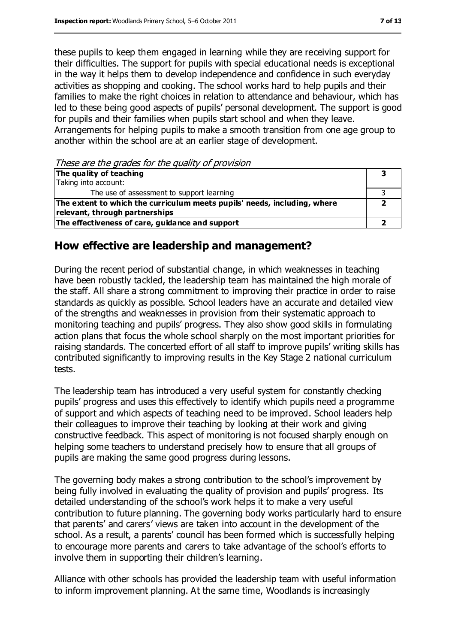these pupils to keep them engaged in learning while they are receiving support for their difficulties. The support for pupils with special educational needs is exceptional in the way it helps them to develop independence and confidence in such everyday activities as shopping and cooking. The school works hard to help pupils and their families to make the right choices in relation to attendance and behaviour, which has led to these being good aspects of pupils' personal development. The support is good for pupils and their families when pupils start school and when they leave. Arrangements for helping pupils to make a smooth transition from one age group to another within the school are at an earlier stage of development.

These are the grades for the quality of provision

| The quality of teaching                                                  |  |
|--------------------------------------------------------------------------|--|
| Taking into account:                                                     |  |
| The use of assessment to support learning                                |  |
| The extent to which the curriculum meets pupils' needs, including, where |  |
| relevant, through partnerships                                           |  |
| The effectiveness of care, guidance and support                          |  |

#### **How effective are leadership and management?**

During the recent period of substantial change, in which weaknesses in teaching have been robustly tackled, the leadership team has maintained the high morale of the staff. All share a strong commitment to improving their practice in order to raise standards as quickly as possible. School leaders have an accurate and detailed view of the strengths and weaknesses in provision from their systematic approach to monitoring teaching and pupils' progress. They also show good skills in formulating action plans that focus the whole school sharply on the most important priorities for raising standards. The concerted effort of all staff to improve pupils' writing skills has contributed significantly to improving results in the Key Stage 2 national curriculum tests.

The leadership team has introduced a very useful system for constantly checking pupils' progress and uses this effectively to identify which pupils need a programme of support and which aspects of teaching need to be improved. School leaders help their colleagues to improve their teaching by looking at their work and giving constructive feedback. This aspect of monitoring is not focused sharply enough on helping some teachers to understand precisely how to ensure that all groups of pupils are making the same good progress during lessons.

The governing body makes a strong contribution to the school's improvement by being fully involved in evaluating the quality of provision and pupils' progress. Its detailed understanding of the school's work helps it to make a very useful contribution to future planning. The governing body works particularly hard to ensure that parents' and carers' views are taken into account in the development of the school. As a result, a parents' council has been formed which is successfully helping to encourage more parents and carers to take advantage of the school's efforts to involve them in supporting their children's learning.

Alliance with other schools has provided the leadership team with useful information to inform improvement planning. At the same time, Woodlands is increasingly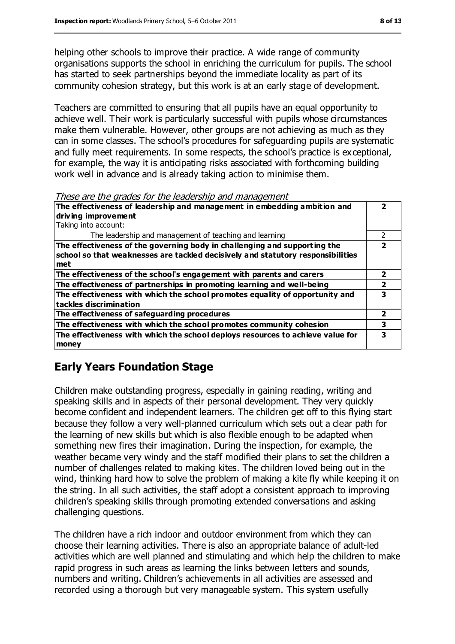helping other schools to improve their practice. A wide range of community organisations supports the school in enriching the curriculum for pupils. The school has started to seek partnerships beyond the immediate locality as part of its community cohesion strategy, but this work is at an early stage of development.

Teachers are committed to ensuring that all pupils have an equal opportunity to achieve well. Their work is particularly successful with pupils whose circumstances make them vulnerable. However, other groups are not achieving as much as they can in some classes. The school's procedures for safeguarding pupils are systematic and fully meet requirements. In some respects, the school's practice is ex ceptional, for example, the way it is anticipating risks associated with forthcoming building work well in advance and is already taking action to minimise them.

| These are the grades for the leadership and management                          |                          |
|---------------------------------------------------------------------------------|--------------------------|
| The effectiveness of leadership and management in embedding ambition and        | $\overline{\mathbf{2}}$  |
| driving improvement                                                             |                          |
| Taking into account:                                                            |                          |
| The leadership and management of teaching and learning                          | $\overline{\phantom{0}}$ |
| The effectiveness of the governing body in challenging and supporting the       | $\overline{2}$           |
| school so that weaknesses are tackled decisively and statutory responsibilities |                          |
| l met                                                                           |                          |
| The effectiveness of the school's engagement with parents and carers            | $\overline{\mathbf{2}}$  |
| The effectiveness of partnerships in promoting learning and well-being          | $\overline{\mathbf{2}}$  |
| The effectiveness with which the school promotes equality of opportunity and    | 3                        |
| tackles discrimination                                                          |                          |
| The effectiveness of safeguarding procedures                                    | $\overline{\mathbf{2}}$  |
| The effectiveness with which the school promotes community cohesion             | 3                        |
| The effectiveness with which the school deploys resources to achieve value for  | 3                        |
| <b>money</b>                                                                    |                          |

## **Early Years Foundation Stage**

Children make outstanding progress, especially in gaining reading, writing and speaking skills and in aspects of their personal development. They very quickly become confident and independent learners. The children get off to this flying start because they follow a very well-planned curriculum which sets out a clear path for the learning of new skills but which is also flexible enough to be adapted when something new fires their imagination. During the inspection, for example, the weather became very windy and the staff modified their plans to set the children a number of challenges related to making kites. The children loved being out in the wind, thinking hard how to solve the problem of making a kite fly while keeping it on the string. In all such activities, the staff adopt a consistent approach to improving children's speaking skills through promoting extended conversations and asking challenging questions.

The children have a rich indoor and outdoor environment from which they can choose their learning activities. There is also an appropriate balance of adult-led activities which are well planned and stimulating and which help the children to make rapid progress in such areas as learning the links between letters and sounds, numbers and writing. Children's achievements in all activities are assessed and recorded using a thorough but very manageable system. This system usefully

**2**

**2**

**3**

**3**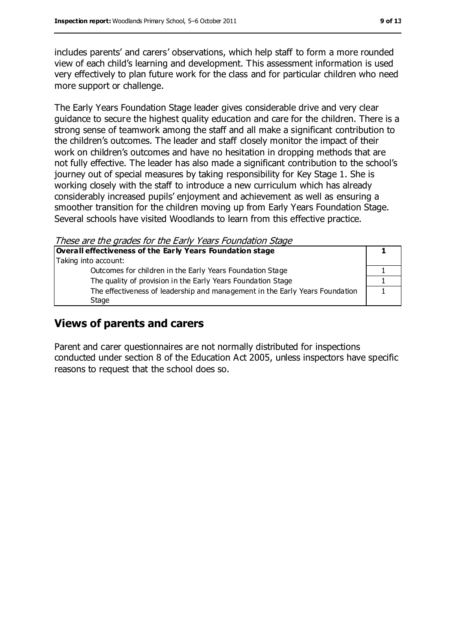includes parents' and carers' observations, which help staff to form a more rounded view of each child's learning and development. This assessment information is used very effectively to plan future work for the class and for particular children who need more support or challenge.

The Early Years Foundation Stage leader gives considerable drive and very clear guidance to secure the highest quality education and care for the children. There is a strong sense of teamwork among the staff and all make a significant contribution to the children's outcomes. The leader and staff closely monitor the impact of their work on children's outcomes and have no hesitation in dropping methods that are not fully effective. The leader has also made a significant contribution to the school's journey out of special measures by taking responsibility for Key Stage 1. She is working closely with the staff to introduce a new curriculum which has already considerably increased pupils' enjoyment and achievement as well as ensuring a smoother transition for the children moving up from Early Years Foundation Stage. Several schools have visited Woodlands to learn from this effective practice.

These are the grades for the Early Years Foundation Stage

| Overall effectiveness of the Early Years Foundation stage                             |  |
|---------------------------------------------------------------------------------------|--|
| Taking into account:                                                                  |  |
| Outcomes for children in the Early Years Foundation Stage                             |  |
| The quality of provision in the Early Years Foundation Stage                          |  |
| The effectiveness of leadership and management in the Early Years Foundation<br>Stage |  |

## **Views of parents and carers**

Parent and carer questionnaires are not normally distributed for inspections conducted under section 8 of the Education Act 2005, unless inspectors have specific reasons to request that the school does so.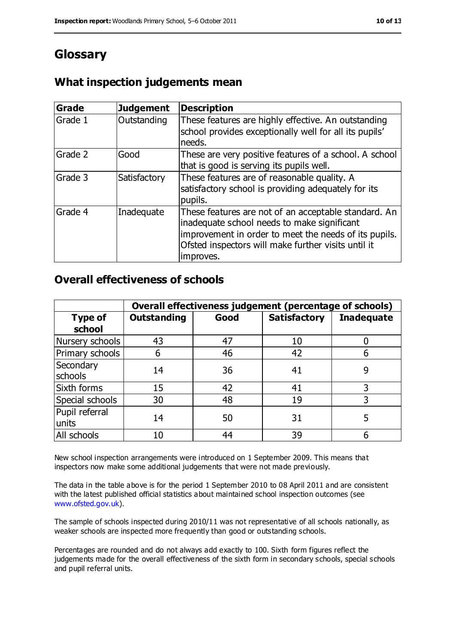# **Glossary**

## **What inspection judgements mean**

| <b>Grade</b> | <b>Judgement</b> | <b>Description</b>                                                                                                                                                                                                               |
|--------------|------------------|----------------------------------------------------------------------------------------------------------------------------------------------------------------------------------------------------------------------------------|
| Grade 1      | Outstanding      | These features are highly effective. An outstanding<br>school provides exceptionally well for all its pupils'<br>needs.                                                                                                          |
| Grade 2      | Good             | These are very positive features of a school. A school<br>that is good is serving its pupils well.                                                                                                                               |
| Grade 3      | Satisfactory     | These features are of reasonable quality. A<br>satisfactory school is providing adequately for its<br>pupils.                                                                                                                    |
| Grade 4      | Inadequate       | These features are not of an acceptable standard. An<br>inadequate school needs to make significant<br>improvement in order to meet the needs of its pupils.<br>Ofsted inspectors will make further visits until it<br>improves. |

## **Overall effectiveness of schools**

|                         | Overall effectiveness judgement (percentage of schools) |      |                     |                   |
|-------------------------|---------------------------------------------------------|------|---------------------|-------------------|
| Type of<br>school       | <b>Outstanding</b>                                      | Good | <b>Satisfactory</b> | <b>Inadequate</b> |
| Nursery schools         | 43                                                      | 47   | 10                  |                   |
| Primary schools         | 6                                                       | 46   | 42                  | რ                 |
| Secondary<br>schools    | 14                                                      | 36   | 41                  | 9                 |
| Sixth forms             | 15                                                      | 42   | 41                  | 3                 |
| Special schools         | 30                                                      | 48   | 19                  | 3                 |
| Pupil referral<br>units | 14                                                      | 50   | 31                  | 5                 |
| All schools             | 10                                                      | 44   | 39                  |                   |

New school inspection arrangements were introduced on 1 September 2009. This means that inspectors now make some additional judgements that were not made previously.

The data in the table above is for the period 1 September 2010 to 08 April 2011 and are consistent with the latest published official statistics about maintained school inspection outcomes (see [www.ofsted.gov.uk\)](http://www.ofsted.gov.uk/).

The sample of schools inspected during 2010/11 was not representative of all schools nationally, as weaker schools are inspected more frequently than good or outstanding schools.

Percentages are rounded and do not always add exactly to 100. Sixth form figures reflect the judgements made for the overall effectiveness of the sixth form in secondary schools, special schools and pupil referral units.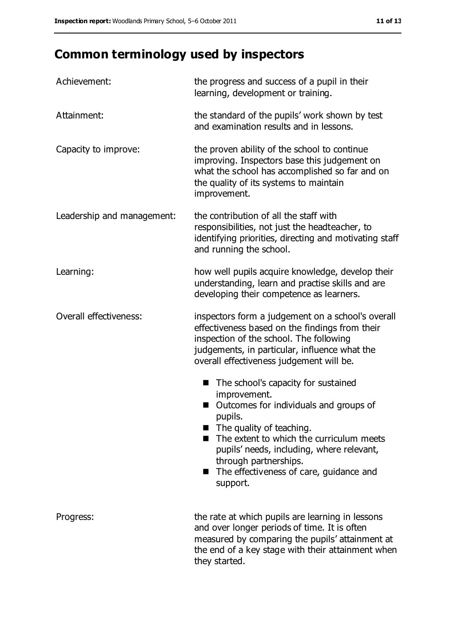# **Common terminology used by inspectors**

| Achievement:               | the progress and success of a pupil in their<br>learning, development or training.                                                                                                                                                                                                                                                     |  |
|----------------------------|----------------------------------------------------------------------------------------------------------------------------------------------------------------------------------------------------------------------------------------------------------------------------------------------------------------------------------------|--|
| Attainment:                | the standard of the pupils' work shown by test<br>and examination results and in lessons.                                                                                                                                                                                                                                              |  |
| Capacity to improve:       | the proven ability of the school to continue<br>improving. Inspectors base this judgement on<br>what the school has accomplished so far and on<br>the quality of its systems to maintain<br>improvement.                                                                                                                               |  |
| Leadership and management: | the contribution of all the staff with<br>responsibilities, not just the headteacher, to<br>identifying priorities, directing and motivating staff<br>and running the school.                                                                                                                                                          |  |
| Learning:                  | how well pupils acquire knowledge, develop their<br>understanding, learn and practise skills and are<br>developing their competence as learners.                                                                                                                                                                                       |  |
| Overall effectiveness:     | inspectors form a judgement on a school's overall<br>effectiveness based on the findings from their<br>inspection of the school. The following<br>judgements, in particular, influence what the<br>overall effectiveness judgement will be.                                                                                            |  |
|                            | The school's capacity for sustained<br>п<br>improvement.<br>Outcomes for individuals and groups of<br>pupils.<br>$\blacksquare$ The quality of teaching.<br>The extent to which the curriculum meets<br>pupils' needs, including, where relevant,<br>through partnerships.<br>The effectiveness of care, guidance and<br>ш<br>support. |  |
| Progress:                  | the rate at which pupils are learning in lessons<br>and over longer periods of time. It is often<br>measured by comparing the pupils' attainment at<br>the end of a key stage with their attainment when<br>they started.                                                                                                              |  |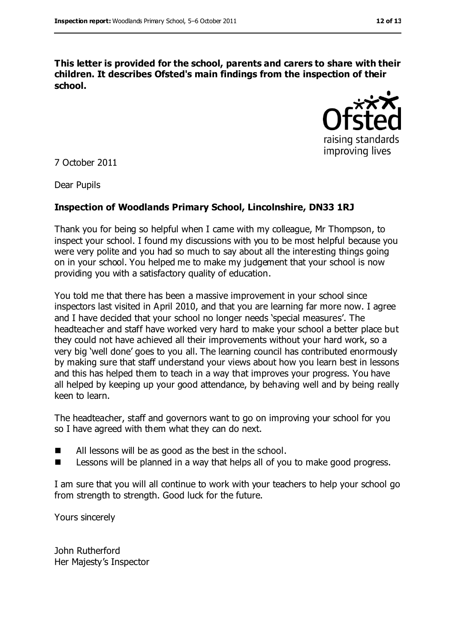**This letter is provided for the school, parents and carers to share with their children. It describes Ofsted's main findings from the inspection of their school.**



7 October 2011

Dear Pupils

#### **Inspection of Woodlands Primary School, Lincolnshire, DN33 1RJ**

Thank you for being so helpful when I came with my colleague, Mr Thompson, to inspect your school. I found my discussions with you to be most helpful because you were very polite and you had so much to say about all the interesting things going on in your school. You helped me to make my judgement that your school is now providing you with a satisfactory quality of education.

You told me that there has been a massive improvement in your school since inspectors last visited in April 2010, and that you are learning far more now. I agree and I have decided that your school no longer needs 'special measures'. The headteacher and staff have worked very hard to make your school a better place but they could not have achieved all their improvements without your hard work, so a very big 'well done' goes to you all. The learning council has contributed enormously by making sure that staff understand your views about how you learn best in lessons and this has helped them to teach in a way that improves your progress. You have all helped by keeping up your good attendance, by behaving well and by being really keen to learn.

The headteacher, staff and governors want to go on improving your school for you so I have agreed with them what they can do next.

- $\blacksquare$  All lessons will be as good as the best in the school.
- Lessons will be planned in a way that helps all of you to make good progress.

I am sure that you will all continue to work with your teachers to help your school go from strength to strength. Good luck for the future.

Yours sincerely

John Rutherford Her Majesty's Inspector